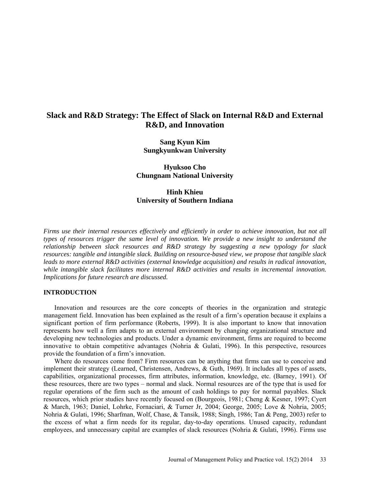# **Slack and R&D Strategy: The Effect of Slack on Internal R&D and External R&D, and Innovation**

**Sang Kyun Kim Sungkyunkwan University**

**Hyuksoo Cho Chungnam National University**

**Hinh Khieu University of Southern Indiana**

*Firms use their internal resources effectively and efficiently in order to achieve innovation, but not all types of resources trigger the same level of innovation. We provide a new insight to understand the relationship between slack resources and R&D strategy by suggesting a new typology for slack resources: tangible and intangible slack. Building on resource-based view, we propose that tangible slack leads to more external R&D activities (external knowledge acquisition) and results in radical innovation, while intangible slack facilitates more internal R&D activities and results in incremental innovation. Implications for future research are discussed.* 

# **INTRODUCTION**

Innovation and resources are the core concepts of theories in the organization and strategic management field. Innovation has been explained as the result of a firm's operation because it explains a significant portion of firm performance [\(Roberts, 1999\)](#page-8-0). It is also important to know that innovation represents how well a firm adapts to an external environment by changing organizational structure and developing new technologies and products. Under a dynamic environment, firms are required to become innovative to obtain competitive advantages [\(Nohria & Gulati, 1996\)](#page-8-1). In this perspective, resources provide the foundation of a firm's innovation.

Where do resources come from? Firm resources can be anything that firms can use to conceive and implement their strategy [\(Learned, Christensen, Andrews, & Guth, 1969\)](#page-8-2). It includes all types of assets, capabilities, organizational processes, firm attributes, information, knowledge, etc. [\(Barney, 1991\)](#page-7-0). Of these resources, there are two types – normal and slack. Normal resources are of the type that is used for regular operations of the firm such as the amount of cash holdings to pay for normal payables. Slack resources, which prior studies have recently focused on [\(Bourgeois, 1981;](#page-7-1) [Cheng & Kesner, 1997;](#page-8-3) [Cyert](#page-8-4)  [& March, 1963;](#page-8-4) [Daniel, Lohrke, Fornaciari, & Turner Jr, 2004;](#page-8-5) [George, 2005;](#page-8-6) [Love & Nohria, 2005;](#page-8-7) [Nohria & Gulati, 1996;](#page-8-1) [Sharfman, Wolf, Chase, & Tansik, 1988;](#page-9-0) [Singh, 1986;](#page-9-1) [Tan & Peng, 2003\)](#page-9-2) refer to the excess of what a firm needs for its regular, day-to-day operations. Unused capacity, redundant employees, and unnecessary capital are examples of slack resources [\(Nohria & Gulati, 1996\)](#page-8-1). Firms use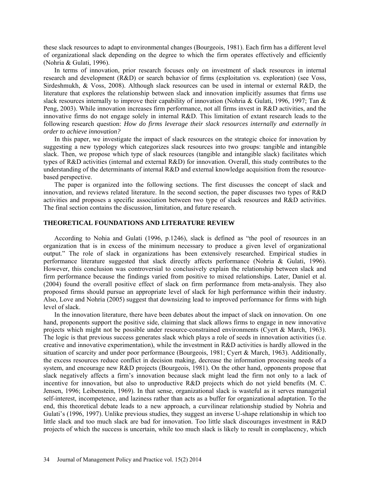these slack resources to adapt to environmental changes [\(Bourgeois, 1981\)](#page-7-1). Each firm has a different level of organizational slack depending on the degree to which the firm operates effectively and efficiently [\(Nohria & Gulati, 1996\)](#page-8-1).

In terms of innovation, prior research focuses only on investment of slack resources in internal research and development (R&D) or search behavior of firms (exploitation vs. exploration) [\(see Voss,](#page-9-3)  [Sirdeshmukh, & Voss, 2008\)](#page-9-3). Although slack resources can be used in internal or external R&D, the literature that explores the relationship between slack and innovation implicitly assumes that firms use slack resources internally to improve their capability of innovation [\(Nohria & Gulati, 1996,](#page-8-1) [1997;](#page-8-8) Tan & [Peng, 2003\)](#page-9-2). While innovation increases firm performance, not all firms invest in R&D activities, and the innovative firms do not engage solely in internal R&D. This limitation of extant research leads to the following research question: *How do firms leverage their slack resources internally and externally in order to achieve innovation?*

In this paper, we investigate the impact of slack resources on the strategic choice for innovation by suggesting a new typology which categorizes slack resources into two groups: tangible and intangible slack. Then, we propose which type of slack resources (tangible and intangible slack) facilitates which types of R&D activities (internal and external R&D) for innovation. Overall, this study contributes to the understanding of the determinants of internal R&D and external knowledge acquisition from the resourcebased perspective.

The paper is organized into the following sections. The first discusses the concept of slack and innovation, and reviews related literature. In the second section, the paper discusses two types of R&D activities and proposes a specific association between two type of slack resources and R&D activities. The final section contains the discussion, limitation, and future research.

### **THEORETICAL FOUNDATIONS AND LITERATURE REVIEW**

According to Nohia and Gulati [\(1996, p.1246\)](#page-8-1), slack is defined as "the pool of resources in an organization that is in excess of the minimum necessary to produce a given level of organizational output." The role of slack in organizations has been extensively researched. Empirical studies in performance literature suggested that slack directly affects performance [\(Nohria & Gulati, 1996\)](#page-8-1). However, this conclusion was controversial to conclusively explain the relationship between slack and firm performance because the findings varied from positive to mixed relationships. Later, Daniel et al. [\(2004\)](#page-8-5) found the overall positive effect of slack on firm performance from meta-analysis. They also proposed firms should pursue an appropriate level of slack for high performance within their industry. Also, Love and Nohria [\(2005\)](#page-8-7) suggest that downsizing lead to improved performance for firms with high level of slack.

In the innovation literature, there have been debates about the impact of slack on innovation. On one hand, proponents support the positive side, claiming that slack allows firms to engage in new innovative projects which might not be possible under resource-constrained environments [\(Cyert & March, 1963\)](#page-8-4). The logic is that previous success generates slack which plays a role of seeds in innovation activities (i.e. creative and innovative experimentation), while the investment in R&D activities is hardly allowed in the situation of scarcity and under poor performance [\(Bourgeois, 1981;](#page-7-1) [Cyert & March, 1963\)](#page-8-4). Additionally, the excess resources reduce conflict in decision making, decrease the information processing needs of a system, and encourage new R&D projects [\(Bourgeois, 1981\)](#page-7-1). On the other hand, opponents propose that slack negatively affects a firm's innovation because slack might lead the firm not only to a lack of incentive for innovation, but also to unproductive R&D projects which do not yield benefits [\(M. C.](#page-8-9)  [Jensen, 1996;](#page-8-9) [Leibenstein, 1969\)](#page-8-10). In that sense, organizational slack is wasteful as it serves managerial self-interest, incompetence, and laziness rather than acts as a buffer for organizational adaptation. To the end, this theoretical debate leads to a new approach, a curvilinear relationship studied by Nohria and Gulati's [\(1996,](#page-8-1) [1997\)](#page-8-8). Unlike previous studies, they suggest an inverse U-shape relationship in which too little slack and too much slack are bad for innovation. Too little slack discourages investment in R&D projects of which the success is uncertain, while too much slack is likely to result in complacency, which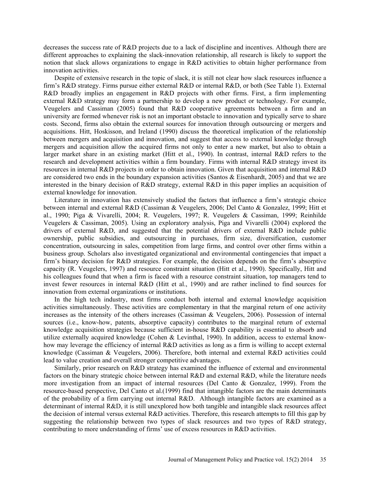decreases the success rate of R&D projects due to a lack of discipline and incentives. Although there are different approaches to explaining the slack-innovation relationship, all research is likely to support the notion that slack allows organizations to engage in R&D activities to obtain higher performance from innovation activities.

Despite of extensive research in the topic of slack, it is still not clear how slack resources influence a firm's R&D strategy. Firms pursue either external R&D or internal R&D, or both (See Table 1). External R&D broadly implies an engagement in R&D projects with other firms. First, a firm implementing external R&D strategy may form a partnership to develop a new product or technology. For example, Veugelers and Cassiman [\(2005\)](#page-9-4) found that R&D cooperative agreements between a firm and an university are formed whenever risk is not an important obstacle to innovation and typically serve to share costs. Second, firms also obtain the external sources for innovation through outsourcing or mergers and acquisitions. Hitt, Hoskisson, and Ireland [\(1990\)](#page-8-11) discuss the theoretical implication of the relationship between mergers and acquisition and innovation, and suggest that access to external knowledge through mergers and acquisition allow the acquired firms not only to enter a new market, but also to obtain a larger market share in an existing market [\(Hitt et al., 1990\)](#page-8-11). In contrast, internal R&D refers to the research and development activities within a firm boundary. Firms with internal R&D strategy invest its resources in internal R&D projects in order to obtain innovation. Given that acquisition and internal R&D are considered two ends in the boundary expansion activities [\(Santos & Eisenhardt, 2005\)](#page-8-12) and that we are interested in the binary decision of R&D strategy, external R&D in this paper implies an acquisition of external knowledge for innovation.

Literature in innovation has extensively studied the factors that influence a firm's strategic choice between internal and external R&D [\(Cassiman & Veugelers, 2006;](#page-7-2) [Del Canto & Gonzalez, 1999;](#page-8-13) [Hitt et](#page-8-11)  [al., 1990;](#page-8-11) [Piga & Vivarelli, 2004;](#page-8-14) [R. Veugelers, 1997;](#page-9-5) [R. Veugelers & Cassiman, 1999;](#page-9-6) [Reinhilde](#page-9-4)  [Veugelers & Cassiman, 2005\)](#page-9-4). Using an exploratory analysis, Piga and Vivarelli [\(2004\)](#page-8-14) explored the drivers of external R&D, and suggested that the potential drivers of external R&D include public ownership, public subsidies, and outsourcing in purchases, firm size, diversification, customer concentration, outsourcing in sales, competition from large firms, and control over other firms within a business group. Scholars also investigated organizational and environmental contingencies that impact a firm's binary decision for R&D strategies. For example, the decision depends on the firm's absorptive capacity [\(R. Veugelers, 1997\)](#page-9-5) and resource constraint situation (Hitt et al., 1990). Specifically, Hitt and his colleagues found that when a firm is faced with a resource constraint situation, top managers tend to invest fewer resources in internal R&D [\(Hitt et al., 1990\)](#page-8-11) and are rather inclined to find sources for innovation from external organizations or institutions.

In the high tech industry, most firms conduct both internal and external knowledge acquisition activities simultaneously. These activities are complementary in that the marginal return of one activity increases as the intensity of the others increases [\(Cassiman & Veugelers, 2006\)](#page-7-2). Possession of internal sources (i.e., know-how, patents, absorptive capacity) contributes to the marginal return of external knowledge acquisition strategies because sufficient in-house R&D capability is essential to absorb and utilize externally acquired knowledge [\(Cohen & Levinthal, 1990\)](#page-8-15). In addition, access to external knowhow may leverage the efficiency of internal R&D activities as long as a firm is willing to accept external knowledge [\(Cassiman & Veugelers, 2006\)](#page-7-2). Therefore, both internal and external R&D activities could lead to value creation and overall stronger competitive advantages.

Similarly, prior research on R&D strategy has examined the influence of external and environmental factors on the binary strategic choice between internal R&D and external R&D, while the literature needs more investigation from an impact of internal resources [\(Del Canto & Gonzalez, 1999\)](#page-8-13). From the resource-based perspective, Del Canto et al.[\(1999\)](#page-8-13) find that intangible factors are the main determinants of the probability of a firm carrying out internal R&D. Although intangible factors are examined as a determinant of internal R&D, it is still unexplored how both tangible and intangible slack resources affect the decision of internal versus external R&D activities. Therefore, this research attempts to fill this gap by suggesting the relationship between two types of slack resources and two types of R&D strategy, contributing to more understanding of firms' use of excess resources in R&D activities.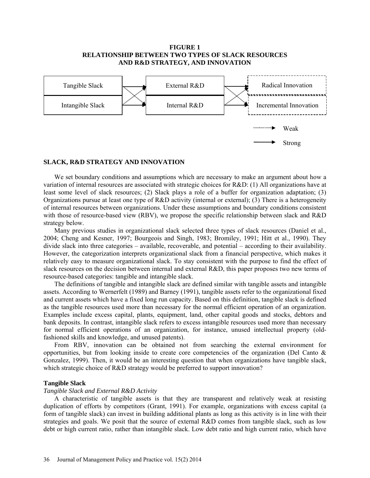# **FIGURE 1 RELATIONSHIP BETWEEN TWO TYPES OF SLACK RESOURCES AND R&D STRATEGY, AND INNOVATION**



## **SLACK, R&D STRATEGY AND INNOVATION**

We set boundary conditions and assumptions which are necessary to make an argument about how a variation of internal resources are associated with strategic choices for R&D: (1) All organizations have at least some level of slack resources; (2) Slack plays a role of a buffer for organization adaptation; (3) Organizations pursue at least one type of R&D activity (internal or external); (3) There is a heterogeneity of internal resources between organizations. Under these assumptions and boundary conditions consistent with those of resource-based view (RBV), we propose the specific relationship between slack and R&D strategy below.

Many previous studies in organizational slack selected three types of slack resources [\(Daniel et al.,](#page-8-4)  [2004;](#page-8-4) [Cheng and Kesner, 1997;](#page-8-3) Bourgeois and Singh, 1983; [Bromiley, 1991;](#page-7-3) [Hitt et al., 1990\)](#page-8-11). They divide slack into three categories – available, recoverable, and potential – according to their availability. However, the categorization interprets organizational slack from a financial perspective, which makes it relatively easy to measure organizational slack. To stay consistent with the purpose to find the effect of slack resources on the decision between internal and external R&D, this paper proposes two new terms of resource-based categories: tangible and intangible slack.

The definitions of tangible and intangible slack are defined similar with tangible assets and intangible assets. According to Wernerfelt [\(1989\)](#page-9-7) and Barney [\(1991\)](#page-7-0), tangible assets refer to the organizational fixed and current assets which have a fixed long run capacity. Based on this definition, tangible slack is defined as the tangible resources used more than necessary for the normal efficient operation of an organization. Examples include excess capital, plants, equipment, land, other capital goods and stocks, debtors and bank deposits. In contrast, intangible slack refers to excess intangible resources used more than necessary for normal efficient operations of an organization, for instance, unused intellectual property (oldfashioned skills and knowledge, and unused patents).

From RBV, innovation can be obtained not from searching the external environment for opportunities, but from looking inside to create core competencies of the organization (Del Canto  $\&$ [Gonzalez, 1999\)](#page-8-13). Then, it would be an interesting question that when organizations have tangible slack, which strategic choice of R&D strategy would be preferred to support innovation?

## **Tangible Slack**

## *Tangible Slack and External R&D Activity*

A characteristic of tangible assets is that they are transparent and relatively weak at resisting duplication of efforts by competitors [\(Grant, 1991\)](#page-8-16). For example, organizations with excess capital (a form of tangible slack) can invest in building additional plants as long as this activity is in line with their strategies and goals. We posit that the source of external R&D comes from tangible slack, such as low debt or high current ratio, rather than intangible slack. Low debt ratio and high current ratio, which have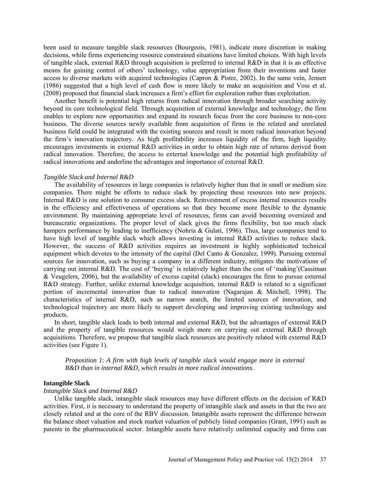been used to measure tangible slack resources [\(Bourgeois, 1981\)](#page-7-1), indicate more discretion in making decisions, while firms experiencing resource constrained situations have limited choices. With high levels of tangible slack, external R&D through acquisition is preferred to internal R&D in that it is an effective means for gaining control of others' technology, value appropriation from their inventions and faster access to diverse markets with acquired technologies [\(Capron & Pistre, 2002\)](#page-7-3). In the same vein, Jensen [\(1986\)](#page-8-17) suggested that a high level of cash flow is more likely to make an acquisition and Voss et al. [\(2008\)](#page-9-3) proposed that financial slack increases a firm's effort for exploration rather than exploitation.

Another benefit is potential high returns from radical innovation through broader searching activity beyond its core technological field. Through acquisition of external knowledge and technology, the firm enables to explore new opportunities and expand its research focus from the core business to non-core business. The diverse sources newly available from acquisition of firms in the related and unrelated business field could be integrated with the existing sources and result in more radical innovation beyond the firm's innovation trajectory. As high profitability increases liquidity of the firm, high liquidity encourages investments in external R&D activities in order to obtain high rate of returns derived from radical innovation. Therefore, the access to external knowledge and the potential high profitability of radical innovations and underline the advantages and importance of external R&D.

#### *Tangible Slack and Internal R&D*

The availability of resources in large companies is relatively higher than that in small or medium size companies. There might be efforts to reduce slack by projecting these resources into new projects. Internal R&D is one solution to consume excess slack. Reinvestment of excess internal resources results in the efficiency and effectiveness of operations so that they become more flexible to the dynamic environment. By maintaining appropriate level of resources, firms can avoid becoming oversized and bureaucratic organizations. The proper level of slack gives the firms flexibility, but too much slack hampers performance by leading to inefficiency [\(Nohria & Gulati, 1996\)](#page-8-1). Thus, large companies tend to have high level of tangible slack which allows investing in internal R&D activities to reduce slack. However, the success of R&D activities requires an investment in highly sophisticated technical equipment which devotes to the intensity of the capital [\(Del Canto & Gonzalez, 1999\)](#page-8-13). Pursuing external sources for innovation, such as buying a company in a different industry, mitigates the motivations of carrying out internal R&D. The cost of 'buying' is relatively higher than the cost of 'making'[\(Cassiman](#page-7-2)  [& Veugelers, 2006\)](#page-7-2), but the availability of excess capital (slack) encourages the firm to pursue external R&D strategy. Further, unlike external knowledge acquisition, internal R&D is related to a significant portion of incremental innovation than to radical innovation [\(Nagarajan & Mitchell, 1998\)](#page-8-18). The characteristics of internal R&D, such as narrow search, the limited sources of innovation, and technological trajectory are more likely to support developing and improving existing technology and products.

In short, tangible slack leads to both internal and external R&D, but the advantages of external R&D and the property of tangible resources would weigh more on carrying out external R&D through acquisitions. Therefore, we propose that tangible slack resources are positively related with external R&D activities (see Figure 1).

*Proposition 1*: *A firm with high levels of tangible slack would engage more in external R&D than in internal R&D, which results in more radical innovations.*

# **Intangible Slack**

#### *Intangible Slack and Internal R&D*

Unlike tangible slack, intangible slack resources may have different effects on the decision of R&D activities. First, it is necessary to understand the property of intangible slack and assets in that the two are closely related and at the core of the RBV discussion. Intangible assets represent the difference between the balance sheet valuation and stock market valuation of publicly listed companies [\(Grant, 1991\)](#page-8-16) such as patents in the pharmaceutical sector. Intangible assets have relatively unlimited capacity and firms can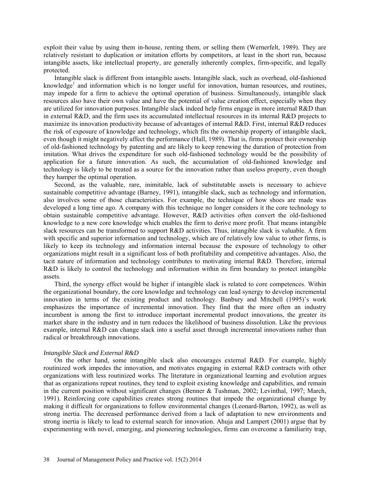exploit their value by using them in-house, renting them, or selling them [\(Wernerfelt, 1989\)](#page-9-7). They are relatively resistant to duplication or imitation efforts by competitors, at least in the short run, because intangible assets, like intellectual property, are generally inherently complex, firm-specific, and legally protected.

Intangible slack is different from intangible assets. Intangible slack, such as overhead, old-fashioned knowledge<sup>1</sup> and information which is no longer useful for innovation, human resources, and routines, may impede for a firm to achieve the optimal operation of business. Simultaneously, intangible slack resources also have their own value and have the potential of value creation effect, especially when they are utilized for innovation purposes. Intangible slack indeed help firms engage in more internal R&D than in external R&D, and the firm uses its accumulated intellectual resources in its internal R&D projects to maximize its innovation productivity because of advantages of internal R&D. First, internal R&D reduces the risk of exposure of knowledge and technology, which fits the ownership property of intangible slack, even though it might negatively affect the performance [\(Hall, 1989\)](#page-8-19). That is, firms protect their ownership of old-fashioned technology by patenting and are likely to keep renewing the duration of protection from imitation. What drives the expenditure for such old-fashioned technology would be the possibility of application for a future innovation. As such, the accumulation of old-fashioned knowledge and technology is likely to be treated as a source for the innovation rather than useless property, even though they hamper the optimal operation.

Second, as the valuable, rare, inimitable, lack of substitutable assets is necessary to achieve sustainable competitive advantage [\(Barney, 1991\)](#page-7-0), intangible slack, such as technology and information, also involves some of those characteristics. For example, the technique of how shoes are made was developed a long time ago. A company with this technique no longer considers it the core technology to obtain sustainable competitive advantage. However, R&D activities often convert the old-fashioned knowledge to a new core knowledge which enables the firm to derive more profit. That means intangible slack resources can be transformed to support R&D activities. Thus, intangible slack is valuable. A firm with specific and superior information and technology, which are of relatively low value to other firms, is likely to keep its technology and information internal because the exposure of technology to other organizations might result in a significant loss of both profitability and competitive advantages. Also, the tacit nature of information and technology contributes to motivating internal R&D. Therefore, internal R&D is likely to control the technology and information within its firm boundary to protect intangible assets.

Third, the synergy effect would be higher if intangible slack is related to core competences. Within the organizational boundary, the core knowledge and technology can lead synergy to develop incremental innovation in terms of the existing product and technology. Banbury and Mitchell [\(1995\)](#page-7-4)'s work emphasizes the importance of incremental innovation. They find that the more often an industry incumbent is among the first to introduce important incremental product innovations, the greater its market share in the industry and in turn reduces the likelihood of business dissolution. Like the previous example, internal R&D can change slack into a useful asset through incremental innovations rather than radical or breakthrough innovations.

## *Intangible Slack and External R&D*

On the other hand, some intangible slack also encourages external R&D. For example, highly routinized work impedes the innovation, and motivates engaging in external R&D contracts with other organizations with less routinized works. The literature in organizational learning and evolution argues that as organizations repeat routines, they tend to exploit existing knowledge and capabilities, and remain in the current position without significant changes [\(Benner & Tushman, 2002;](#page-7-5) [Levinthal, 1997;](#page-8-20) [March,](#page-8-21)  [1991\)](#page-8-21). Reinforcing core capabilities creates strong routines that impede the organizational change by making it difficult for organizations to follow environmental changes [\(Leonard-Barton, 1992\)](#page-8-22), as well as strong inertia. The decreased performance derived from a lack of adaptation to new environments and strong inertia is likely to lead to external search for innovation. Ahuja and Lampert [\(2001\)](#page-7-6) argue that by experimenting with novel, emerging, and pioneering technologies, firms can overcome a familiarity trap,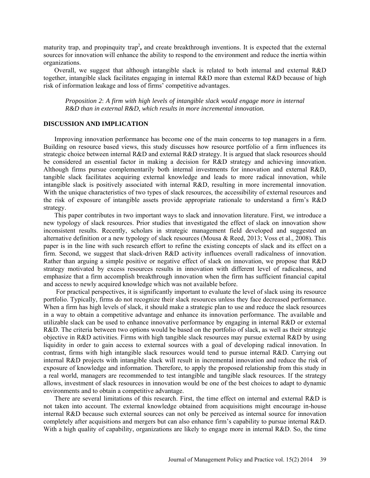maturity trap, and propinquity trap<sup>2</sup>, and create breakthrough inventions. It is expected that the external sources for innovation will enhance the ability to respond to the environment and reduce the inertia within organizations.

Overall, we suggest that although intangible slack is related to both internal and external R&D together, intangible slack facilitates engaging in internal R&D more than external R&D because of high risk of information leakage and loss of firms' competitive advantages.

*Proposition 2*: *A firm with high levels of intangible slack would engage more in internal R&D than in external R&D, which results in more incremental innovation.* 

# **DISCUSSION AND IMPLICATION**

Improving innovation performance has become one of the main concerns to top managers in a firm. Building on resource based views, this study discusses how resource portfolio of a firm influences its strategic choice between internal R&D and external R&D strategy. It is argued that slack resources should be considered an essential factor in making a decision for R&D strategy and achieving innovation. Although firms pursue complementarily both internal investments for innovation and external R&D, tangible slack facilitates acquiring external knowledge and leads to more radical innovation, while intangible slack is positively associated with internal R&D, resulting in more incremental innovation. With the unique characteristics of two types of slack resources, the accessibility of external resources and the risk of exposure of intangible assets provide appropriate rationale to understand a firm's R&D strategy.

This paper contributes in two important ways to slack and innovation literature. First, we introduce a new typology of slack resources. Prior studies that investigated the effect of slack on innovation show inconsistent results. Recently, scholars in strategic management field developed and suggested an alternative definition or a new typology of slack resources [\(Mousa & Reed, 2013;](#page-8-23) [Voss et al., 2008\)](#page-9-3). This paper is in the line with such research effort to refine the existing concepts of slack and its effect on a firm. Second, we suggest that slack-driven R&D activity influences overall radicalness of innovation. Rather than arguing a simple positive or negative effect of slack on innovation, we propose that R&D strategy motivated by excess resources results in innovation with different level of radicalness, and emphasize that a firm accomplish breakthrough innovation when the firm has sufficient financial capital and access to newly acquired knowledge which was not available before.

For practical perspectives, it is significantly important to evaluate the level of slack using its resource portfolio. Typically, firms do not recognize their slack resources unless they face decreased performance. When a firm has high levels of slack, it should make a strategic plan to use and reduce the slack resources in a way to obtain a competitive advantage and enhance its innovation performance. The available and utilizable slack can be used to enhance innovative performance by engaging in internal R&D or external R&D. The criteria between two options would be based on the portfolio of slack, as well as their strategic objective in R&D activities. Firms with high tangible slack resources may pursue external R&D by using liquidity in order to gain access to external sources with a goal of developing radical innovation. In contrast, firms with high intangible slack resources would tend to pursue internal R&D. Carrying out internal R&D projects with intangible slack will result in incremental innovation and reduce the risk of exposure of knowledge and information. Therefore, to apply the proposed relationship from this study in a real world, managers are recommended to test intangible and tangible slack resources. If the strategy allows, investment of slack resources in innovation would be one of the best choices to adapt to dynamic environments and to obtain a competitive advantage.

There are several limitations of this research. First, the time effect on internal and external R&D is not taken into account. The external knowledge obtained from acquisitions might encourage in-house internal R&D because such external sources can not only be perceived as internal source for innovation completely after acquisitions and mergers but can also enhance firm's capability to pursue internal R&D. With a high quality of capability, organizations are likely to engage more in internal R&D. So, the time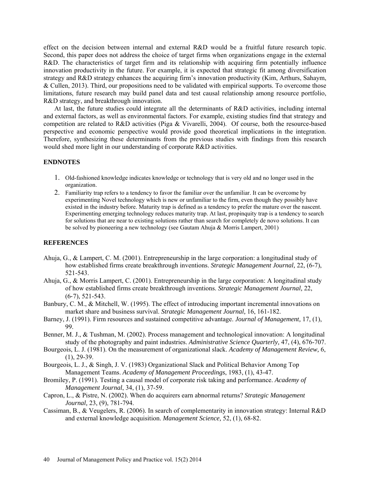effect on the decision between internal and external R&D would be a fruitful future research topic. Second, this paper does not address the choice of target firms when organizations engage in the external R&D. The characteristics of target firm and its relationship with acquiring firm potentially influence innovation productivity in the future. For example, it is expected that strategic fit among diversification strategy and R&D strategy enhances the acquiring firm's innovation productivity [\(Kim, Arthurs, Sahaym,](#page-8-24)  [& Cullen, 2013\)](#page-8-24). Third, our propositions need to be validated with empirical supports. To overcome those limitations, future research may build panel data and test causal relationship among resource portfolio, R&D strategy, and breakthrough innovation.

At last, the future studies could integrate all the determinants of R&D activities, including internal and external factors, as well as environmental factors. For example, existing studies find that strategy and competition are related to R&D activities [\(Piga & Vivarelli, 2004\)](#page-8-14). Of course, both the resource-based perspective and economic perspective would provide good theoretical implications in the integration. Therefore, synthesizing these determinants from the previous studies with findings from this research would shed more light in our understanding of corporate R&D activities.

# **ENDNOTES**

- 1. Old-fashioned knowledge indicates knowledge or technology that is very old and no longer used in the organization.
- 2. Familiarity trap refers to a tendency to favor the familiar over the unfamiliar. It can be overcome by experimenting Novel technology which is new or unfamiliar to the firm, even though they possibly have existed in the industry before. Maturity trap is defined as a tendency to prefer the mature over the nascent. Experimenting emerging technology reduces maturity trap. At last, propinquity trap is a tendency to search for solutions that are near to existing solutions rather than search for completely de novo solutions. It can be solved by pioneering a new technology [\(see Gautam Ahuja & Morris Lampert, 2001\)](#page-7-7)

# **REFERENCES**

- <span id="page-7-6"></span>Ahuja, G., & Lampert, C. M. (2001). Entrepreneurship in the large corporation: a longitudinal study of how established firms create breakthrough inventions. *Strategic Management Journal,* 22*,* (6-7), 521-543.
- <span id="page-7-7"></span>Ahuja, G., & Morris Lampert, C. (2001). Entrepreneurship in the large corporation: A longitudinal study of how established firms create breakthrough inventions. *Strategic Management Journal,* 22, (6‐7), 521-543.
- <span id="page-7-4"></span>Banbury, C. M., & Mitchell, W. (1995). The effect of introducing important incremental innovations on market share and business survival. *Strategic Management Journal,* 16, 161-182.
- <span id="page-7-0"></span>Barney, J. (1991). Firm resources and sustained competitive advantage. *Journal of Management,* 17, (1), 99.
- <span id="page-7-5"></span>Benner, M. J., & Tushman, M. (2002). Process management and technological innovation: A longitudinal study of the photography and paint industries. *Administrative Science Quarterly,* 47, (4), 676-707.
- <span id="page-7-1"></span>Bourgeois, L. J. (1981). On the measurement of organizational slack. *Academy of Management Review,* 6,  $(1), 29-39.$
- <span id="page-7-3"></span>Bourgeois, L. J., & Singh, J. V. (1983) Organizational Slack and Political Behavior Among Top Management Teams. *Academy of Management Proceedings*, 1983, (1), 43-47.
- Bromiley, P. (1991). Testing a causal model of corporate risk taking and performance. *Academy of Management Journal*, 34, (1), 37-59.
- Capron, L., & Pistre, N. (2002). When do acquirers earn abnormal returns? *Strategic Management Journal,* 23, (9), 781-794.
- <span id="page-7-2"></span>Cassiman, B., & Veugelers, R. (2006). In search of complementarity in innovation strategy: Internal R&D and external knowledge acquisition. *Management Science,* 52, (1), 68-82.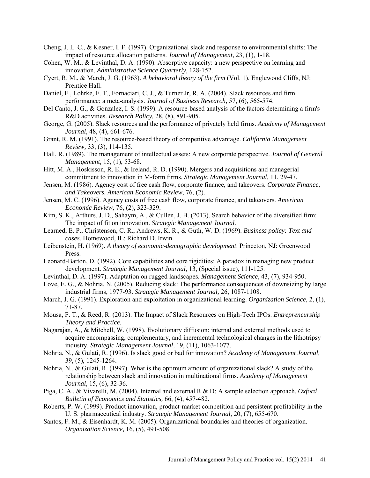- <span id="page-8-3"></span>Cheng, J. L. C., & Kesner, I. F. (1997). Organizational slack and response to environmental shifts: The impact of resource allocation patterns. *Journal of Management,* 23, (1), 1-18.
- <span id="page-8-15"></span>Cohen, W. M., & Levinthal, D. A. (1990). Absorptive capacity: a new perspective on learning and innovation. *Administrative Science Quarterly*, 128-152.
- <span id="page-8-4"></span>Cyert, R. M., & March, J. G. (1963). *A behavioral theory of the firm* (Vol. 1). Englewood Cliffs, NJ: Prentice Hall.
- <span id="page-8-5"></span>Daniel, F., Lohrke, F. T., Fornaciari, C. J., & Turner Jr, R. A. (2004). Slack resources and firm performance: a meta-analysis. *Journal of Business Research,* 57, (6), 565-574.
- <span id="page-8-13"></span>Del Canto, J. G., & Gonzalez, I. S. (1999). A resource-based analysis of the factors determining a firm's R&D activities. *Research Policy,* 28, (8), 891-905.
- <span id="page-8-6"></span>George, G. (2005). Slack resources and the performance of privately held firms. *Academy of Management Journal,* 48, (4), 661-676.
- <span id="page-8-16"></span>Grant, R. M. (1991). The resource-based theory of competitive advantage. *California Management Review,* 33, (3), 114-135.
- <span id="page-8-19"></span>Hall, R. (1989). The management of intellectual assets: A new corporate perspective. *Journal of General Management,* 15, (1), 53-68.
- <span id="page-8-11"></span>Hitt, M. A., Hoskisson, R. E., & Ireland, R. D. (1990). Mergers and acquisitions and managerial commitment to innovation in M-form firms. *Strategic Management Journal,* 11, 29-47.
- <span id="page-8-17"></span>Jensen, M. (1986). Agency cost of free cash flow, corporate finance, and takeovers. *Corporate Finance, and Takeovers. American Economic Review,* 76, (2).
- <span id="page-8-9"></span>Jensen, M. C. (1996). Agency costs of free cash flow, corporate finance, and takeovers. *American Economic Review,* 76, (2), 323-329.
- <span id="page-8-24"></span><span id="page-8-2"></span>Kim, S. K., Arthurs, J. D., Sahaym, A., & Cullen, J. B. (2013). Search behavior of the diversified firm: The impact of fit on innovation. *Strategic Management Journal*.
- Learned, E. P., Christensen, C. R., Andrews, K. R., & Guth, W. D. (1969). *Business policy: Text and cases*. Homewood, IL: Richard D. Irwin.
- <span id="page-8-10"></span>Leibenstein, H. (1969). *A theory of economic-demographic development*. Princeton, NJ: Greenwood Press.
- <span id="page-8-22"></span>Leonard-Barton, D. (1992). Core capabilities and core rigidities: A paradox in managing new product development. *Strategic Management Journal,* 13, (Special issue), 111-125.
- <span id="page-8-20"></span>Levinthal, D. A. (1997). Adaptation on rugged landscapes. *Management Science,* 43, (7), 934-950.
- <span id="page-8-7"></span>Love, E. G., & Nohria, N. (2005). Reducing slack: The performance consequences of downsizing by large industrial firms, 1977-93. *Strategic Management Journal,* 26, 1087-1108.
- <span id="page-8-21"></span>March, J. G. (1991). Exploration and exploitation in organizational learning. *Organization Science,* 2, (1), 71-87.
- <span id="page-8-23"></span>Mousa, F. T., & Reed, R. (2013). The Impact of Slack Resources on High‐Tech IPOs. *Entrepreneurship Theory and Practice*.
- <span id="page-8-18"></span>Nagarajan, A., & Mitchell, W. (1998). Evolutionary diffusion: internal and external methods used to acquire encompassing, complementary, and incremental technological changes in the lithotripsy industry. *Strategic Management Journal,* 19, (11), 1063-1077.
- <span id="page-8-1"></span>Nohria, N., & Gulati, R. (1996). Is slack good or bad for innovation? *Academy of Management Journal,*  39, (5), 1245-1264.
- <span id="page-8-8"></span>Nohria, N., & Gulati, R. (1997). What is the optimum amount of organizational slack? A study of the relationship between slack and innovation in multinational firms. *Academy of Management Journal,* 15, (6), 32-36.
- <span id="page-8-14"></span>Piga, C. A., & Vivarelli, M. (2004). Internal and external R & D: A sample selection approach. *Oxford Bulletin of Economics and Statistics,* 66, (4), 457-482.
- <span id="page-8-0"></span>Roberts, P. W. (1999). Product innovation, product-market competition and persistent profitability in the U. S. pharmaceutical industry. *Strategic Management Journal,* 20, (7), 655-670.
- <span id="page-8-12"></span>Santos, F. M., & Eisenhardt, K. M. (2005). Organizational boundaries and theories of organization. *Organization Science,* 16, (5), 491-508.